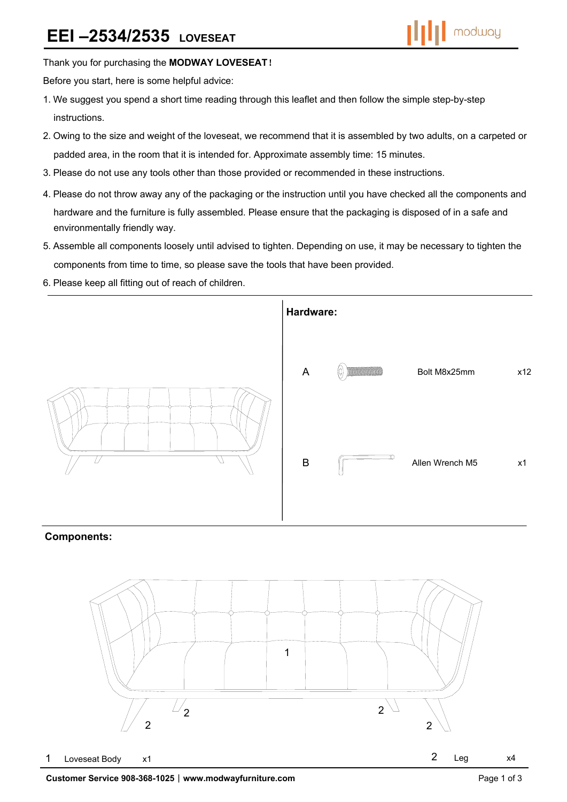### Thank you for purchasing the **MODWAY LOVESEAT**!

Before you start, here is some helpful advice:

- 1.We suggest you spend a short time reading through this leaflet and then follow the simple step-by-step instructions.
- 2.Owing to the size and weight of the loveseat, we recommend that it is assembled by two adults, on a carpeted or padded area, in the room that it is intended for. Approximate assembly time: 15 minutes.
- 3.Please do not use any tools other than those provided or recommended in these instructions.
- 4.Please do not throw away any of the packaging or the instruction until you have checked all the components and hardware and the furniture is fully assembled. Please ensure that the packaging is disposed of in a safe and environmentally friendly way.
- 5.Assemble all components loosely until advised to tighten. Depending on use, it may be necessary to tighten the components from time to time, so please save the tools that have been provided.
- 6.Please keep all fitting out of reach of children.



### **Components:**

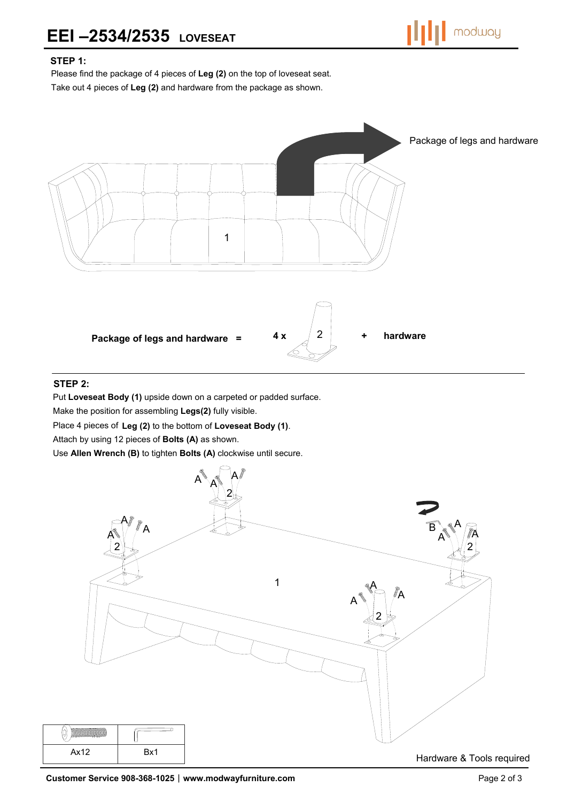

## **STEP 1:**

Please find the package of 4 pieces of **Leg (2)** on the top of loveseat seat.

Take out 4 pieces of **Leg (2)** and hardware from the package as shown.



## **STEP 2:**

Put **Loveseat Body (1)** upside down on a carpeted or padded surface.

Make the position for assembling **Legs(2)** fully visible.

Place 4 pieces of **Leg (2)** to the bottom of **Loveseat Body (1)**.

Attach by using 12 pieces of **Bolts (A)** as shown.

Use **Allen Wrench (B)** to tighten **Bolts (A)** clockwise until secure.